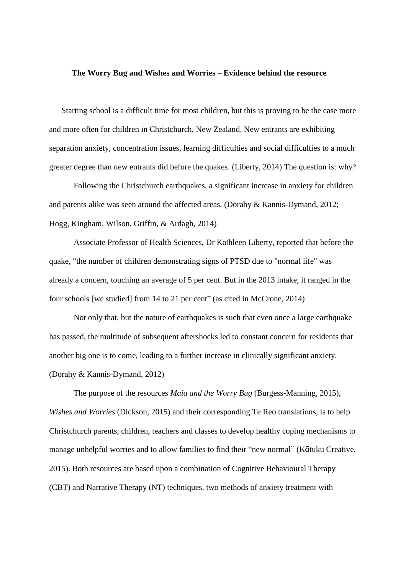## **The Worry Bug and Wishes and Worries – Evidence behind the resource**

Starting school is a difficult time for most children, but this is proving to be the case more and more often for children in Christchurch, New Zealand. New entrants are exhibiting separation anxiety, concentration issues, learning difficulties and social difficulties to a much greater degree than new entrants did before the quakes. (Liberty, 2014) The question is: why?

Following the Christchurch earthquakes, a significant increase in anxiety for children and parents alike was seen around the affected areas. (Dorahy & Kannis-Dymand, 2012; Hogg, Kingham, Wilson, Griffin, & Ardagh, 2014)

Associate Professor of Health Sciences, Dr Kathleen Liberty, reported that before the quake, "the number of children demonstrating signs of PTSD due to "normal life" was already a concern, touching an average of 5 per cent. But in the 2013 intake, it ranged in the four schools [we studied] from 14 to 21 per cent" (as cited in McCrone, 2014)

Not only that, but the nature of earthquakes is such that even once a large earthquake has passed, the multitude of subsequent aftershocks led to constant concern for residents that another big one is to come, leading to a further increase in clinically significant anxiety. (Dorahy & Kannis-Dymand, 2012)

The purpose of the resources *Maia and the Worry Bug* (Burgess-Manning, 2015)*, Wishes and Worries* (Dickson, 2015) and their corresponding Te Reo translations, is to help Christchurch parents, children, teachers and classes to develop healthy coping mechanisms to manage unhelpful worries and to allow families to find their "new normal" (Kōtuku Creative, 2015). Both resources are based upon a combination of Cognitive Behavioural Therapy (CBT) and Narrative Therapy (NT) techniques, two methods of anxiety treatment with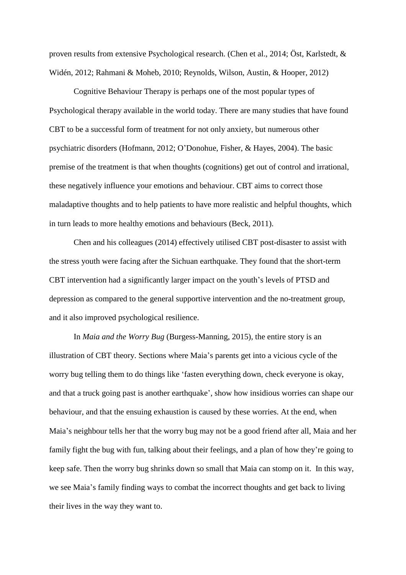proven results from extensive Psychological research. (Chen et al., 2014; Öst, Karlstedt, & Widén, 2012; Rahmani & Moheb, 2010; Reynolds, Wilson, Austin, & Hooper, 2012)

Cognitive Behaviour Therapy is perhaps one of the most popular types of Psychological therapy available in the world today. There are many studies that have found CBT to be a successful form of treatment for not only anxiety, but numerous other psychiatric disorders (Hofmann, 2012; O'Donohue, Fisher, & Hayes, 2004). The basic premise of the treatment is that when thoughts (cognitions) get out of control and irrational, these negatively influence your emotions and behaviour. CBT aims to correct those maladaptive thoughts and to help patients to have more realistic and helpful thoughts, which in turn leads to more healthy emotions and behaviours (Beck, 2011).

Chen and his colleagues (2014) effectively utilised CBT post-disaster to assist with the stress youth were facing after the Sichuan earthquake. They found that the short-term CBT intervention had a significantly larger impact on the youth's levels of PTSD and depression as compared to the general supportive intervention and the no-treatment group, and it also improved psychological resilience.

In *Maia and the Worry Bug* (Burgess-Manning, 2015)*,* the entire story is an illustration of CBT theory. Sections where Maia's parents get into a vicious cycle of the worry bug telling them to do things like 'fasten everything down, check everyone is okay, and that a truck going past is another earthquake', show how insidious worries can shape our behaviour, and that the ensuing exhaustion is caused by these worries. At the end, when Maia's neighbour tells her that the worry bug may not be a good friend after all, Maia and her family fight the bug with fun, talking about their feelings, and a plan of how they're going to keep safe. Then the worry bug shrinks down so small that Maia can stomp on it. In this way, we see Maia's family finding ways to combat the incorrect thoughts and get back to living their lives in the way they want to.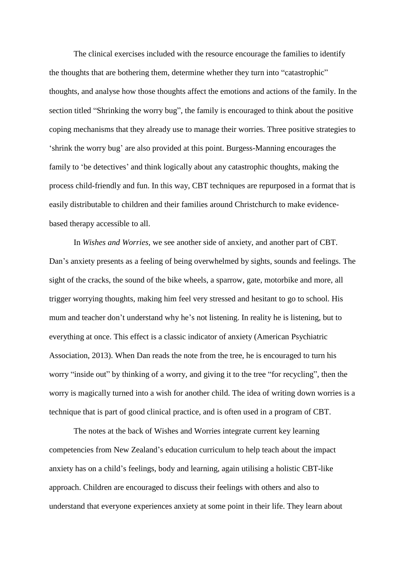The clinical exercises included with the resource encourage the families to identify the thoughts that are bothering them, determine whether they turn into "catastrophic" thoughts, and analyse how those thoughts affect the emotions and actions of the family. In the section titled "Shrinking the worry bug", the family is encouraged to think about the positive coping mechanisms that they already use to manage their worries. Three positive strategies to 'shrink the worry bug' are also provided at this point. Burgess-Manning encourages the family to 'be detectives' and think logically about any catastrophic thoughts, making the process child-friendly and fun. In this way, CBT techniques are repurposed in a format that is easily distributable to children and their families around Christchurch to make evidencebased therapy accessible to all.

In *Wishes and Worries,* we see another side of anxiety, and another part of CBT. Dan's anxiety presents as a feeling of being overwhelmed by sights, sounds and feelings. The sight of the cracks, the sound of the bike wheels, a sparrow, gate, motorbike and more, all trigger worrying thoughts, making him feel very stressed and hesitant to go to school. His mum and teacher don't understand why he's not listening. In reality he is listening, but to everything at once. This effect is a classic indicator of anxiety (American Psychiatric Association, 2013). When Dan reads the note from the tree, he is encouraged to turn his worry "inside out" by thinking of a worry, and giving it to the tree "for recycling", then the worry is magically turned into a wish for another child. The idea of writing down worries is a technique that is part of good clinical practice, and is often used in a program of CBT.

The notes at the back of Wishes and Worries integrate current key learning competencies from New Zealand's education curriculum to help teach about the impact anxiety has on a child's feelings, body and learning, again utilising a holistic CBT-like approach. Children are encouraged to discuss their feelings with others and also to understand that everyone experiences anxiety at some point in their life. They learn about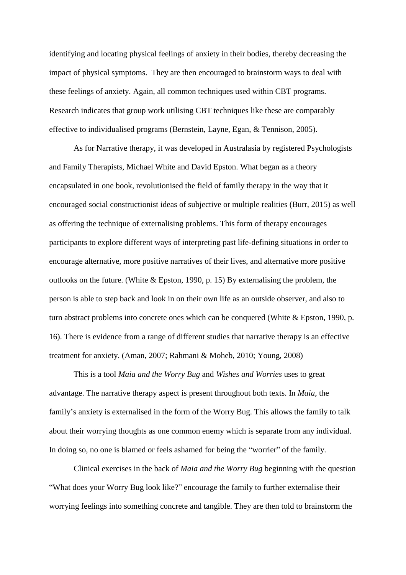identifying and locating physical feelings of anxiety in their bodies, thereby decreasing the impact of physical symptoms. They are then encouraged to brainstorm ways to deal with these feelings of anxiety. Again, all common techniques used within CBT programs. Research indicates that group work utilising CBT techniques like these are comparably effective to individualised programs (Bernstein, Layne, Egan, & Tennison, 2005).

As for Narrative therapy, it was developed in Australasia by registered Psychologists and Family Therapists, Michael White and David Epston. What began as a theory encapsulated in one book, revolutionised the field of family therapy in the way that it encouraged social constructionist ideas of subjective or multiple realities (Burr, 2015) as well as offering the technique of externalising problems. This form of therapy encourages participants to explore different ways of interpreting past life-defining situations in order to encourage alternative, more positive narratives of their lives, and alternative more positive outlooks on the future. (White & Epston, 1990, p. 15) By externalising the problem, the person is able to step back and look in on their own life as an outside observer, and also to turn abstract problems into concrete ones which can be conquered (White & Epston, 1990, p. 16). There is evidence from a range of different studies that narrative therapy is an effective treatment for anxiety. (Aman, 2007; Rahmani & Moheb, 2010; Young, 2008)

This is a tool *Maia and the Worry Bug* and *Wishes and Worries* uses to great advantage. The narrative therapy aspect is present throughout both texts. In *Maia,* the family's anxiety is externalised in the form of the Worry Bug. This allows the family to talk about their worrying thoughts as one common enemy which is separate from any individual. In doing so, no one is blamed or feels ashamed for being the "worrier" of the family.

Clinical exercises in the back of *Maia and the Worry Bug* beginning with the question "What does your Worry Bug look like?" encourage the family to further externalise their worrying feelings into something concrete and tangible. They are then told to brainstorm the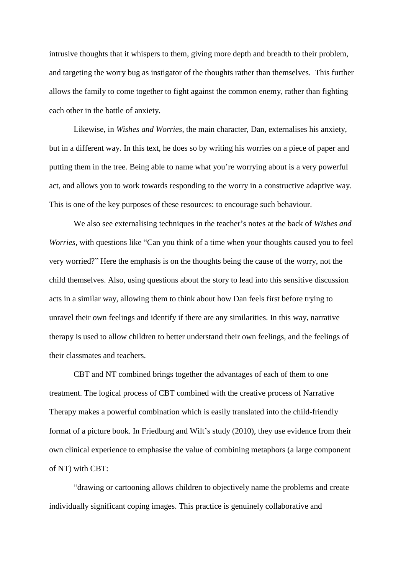intrusive thoughts that it whispers to them, giving more depth and breadth to their problem, and targeting the worry bug as instigator of the thoughts rather than themselves. This further allows the family to come together to fight against the common enemy, rather than fighting each other in the battle of anxiety.

Likewise, in *Wishes and Worries*, the main character, Dan, externalises his anxiety, but in a different way. In this text, he does so by writing his worries on a piece of paper and putting them in the tree. Being able to name what you're worrying about is a very powerful act, and allows you to work towards responding to the worry in a constructive adaptive way. This is one of the key purposes of these resources: to encourage such behaviour.

We also see externalising techniques in the teacher's notes at the back of *Wishes and Worries*, with questions like "Can you think of a time when your thoughts caused you to feel very worried?" Here the emphasis is on the thoughts being the cause of the worry, not the child themselves. Also, using questions about the story to lead into this sensitive discussion acts in a similar way, allowing them to think about how Dan feels first before trying to unravel their own feelings and identify if there are any similarities. In this way, narrative therapy is used to allow children to better understand their own feelings, and the feelings of their classmates and teachers.

CBT and NT combined brings together the advantages of each of them to one treatment. The logical process of CBT combined with the creative process of Narrative Therapy makes a powerful combination which is easily translated into the child-friendly format of a picture book. In Friedburg and Wilt's study (2010), they use evidence from their own clinical experience to emphasise the value of combining metaphors (a large component of NT) with CBT:

"drawing or cartooning allows children to objectively name the problems and create individually significant coping images. This practice is genuinely collaborative and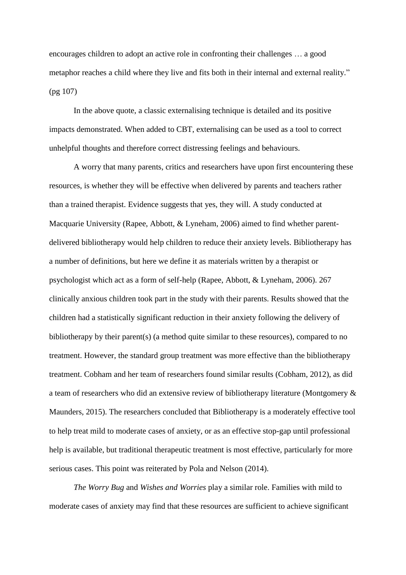encourages children to adopt an active role in confronting their challenges … a good metaphor reaches a child where they live and fits both in their internal and external reality." (pg 107)

In the above quote, a classic externalising technique is detailed and its positive impacts demonstrated. When added to CBT, externalising can be used as a tool to correct unhelpful thoughts and therefore correct distressing feelings and behaviours.

A worry that many parents, critics and researchers have upon first encountering these resources, is whether they will be effective when delivered by parents and teachers rather than a trained therapist. Evidence suggests that yes, they will. A study conducted at Macquarie University (Rapee, Abbott, & Lyneham, 2006) aimed to find whether parentdelivered bibliotherapy would help children to reduce their anxiety levels. Bibliotherapy has a number of definitions, but here we define it as materials written by a therapist or psychologist which act as a form of self-help (Rapee, Abbott, & Lyneham, 2006). 267 clinically anxious children took part in the study with their parents. Results showed that the children had a statistically significant reduction in their anxiety following the delivery of bibliotherapy by their parent(s) (a method quite similar to these resources), compared to no treatment. However, the standard group treatment was more effective than the bibliotherapy treatment. Cobham and her team of researchers found similar results (Cobham, 2012), as did a team of researchers who did an extensive review of bibliotherapy literature (Montgomery & Maunders, 2015). The researchers concluded that Bibliotherapy is a moderately effective tool to help treat mild to moderate cases of anxiety, or as an effective stop-gap until professional help is available, but traditional therapeutic treatment is most effective, particularly for more serious cases. This point was reiterated by Pola and Nelson (2014).

*The Worry Bug* and *Wishes and Worries* play a similar role. Families with mild to moderate cases of anxiety may find that these resources are sufficient to achieve significant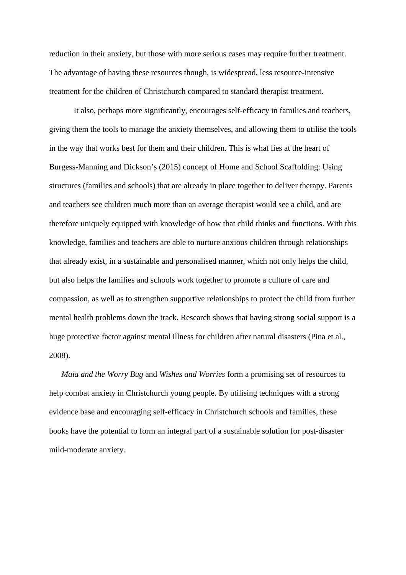reduction in their anxiety, but those with more serious cases may require further treatment. The advantage of having these resources though, is widespread, less resource-intensive treatment for the children of Christchurch compared to standard therapist treatment.

It also, perhaps more significantly, encourages self-efficacy in families and teachers, giving them the tools to manage the anxiety themselves, and allowing them to utilise the tools in the way that works best for them and their children. This is what lies at the heart of Burgess-Manning and Dickson's (2015) concept of Home and School Scaffolding: Using structures (families and schools) that are already in place together to deliver therapy. Parents and teachers see children much more than an average therapist would see a child, and are therefore uniquely equipped with knowledge of how that child thinks and functions. With this knowledge, families and teachers are able to nurture anxious children through relationships that already exist, in a sustainable and personalised manner, which not only helps the child, but also helps the families and schools work together to promote a culture of care and compassion, as well as to strengthen supportive relationships to protect the child from further mental health problems down the track. Research shows that having strong social support is a huge protective factor against mental illness for children after natural disasters (Pina et al., 2008).

*Maia and the Worry Bug* and *Wishes and Worries* form a promising set of resources to help combat anxiety in Christchurch young people. By utilising techniques with a strong evidence base and encouraging self-efficacy in Christchurch schools and families, these books have the potential to form an integral part of a sustainable solution for post-disaster mild-moderate anxiety.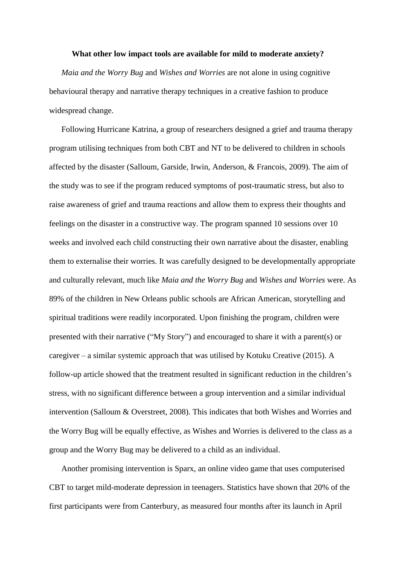## **What other low impact tools are available for mild to moderate anxiety?**

*Maia and the Worry Bug* and *Wishes and Worries* are not alone in using cognitive behavioural therapy and narrative therapy techniques in a creative fashion to produce widespread change.

Following Hurricane Katrina, a group of researchers designed a grief and trauma therapy program utilising techniques from both CBT and NT to be delivered to children in schools affected by the disaster (Salloum, Garside, Irwin, Anderson, & Francois, 2009). The aim of the study was to see if the program reduced symptoms of post-traumatic stress, but also to raise awareness of grief and trauma reactions and allow them to express their thoughts and feelings on the disaster in a constructive way. The program spanned 10 sessions over 10 weeks and involved each child constructing their own narrative about the disaster, enabling them to externalise their worries. It was carefully designed to be developmentally appropriate and culturally relevant, much like *Maia and the Worry Bug* and *Wishes and Worries* were. As 89% of the children in New Orleans public schools are African American, storytelling and spiritual traditions were readily incorporated. Upon finishing the program, children were presented with their narrative ("My Story") and encouraged to share it with a parent(s) or caregiver – a similar systemic approach that was utilised by Kotuku Creative (2015). A follow-up article showed that the treatment resulted in significant reduction in the children's stress, with no significant difference between a group intervention and a similar individual intervention (Salloum & Overstreet, 2008). This indicates that both Wishes and Worries and the Worry Bug will be equally effective, as Wishes and Worries is delivered to the class as a group and the Worry Bug may be delivered to a child as an individual.

Another promising intervention is Sparx, an online video game that uses computerised CBT to target mild-moderate depression in teenagers. Statistics have shown that 20% of the first participants were from Canterbury, as measured four months after its launch in April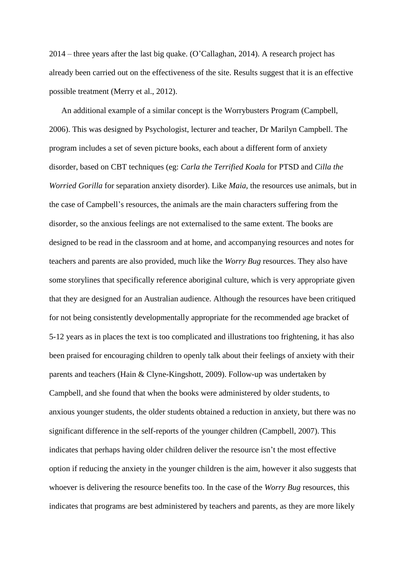2014 – three years after the last big quake. (O'Callaghan, 2014). A research project has already been carried out on the effectiveness of the site. Results suggest that it is an effective possible treatment (Merry et al., 2012).

An additional example of a similar concept is the Worrybusters Program (Campbell, 2006). This was designed by Psychologist, lecturer and teacher, Dr Marilyn Campbell. The program includes a set of seven picture books, each about a different form of anxiety disorder, based on CBT techniques (eg: *Carla the Terrified Koala* for PTSD and *Cilla the Worried Gorilla* for separation anxiety disorder). Like *Maia*, the resources use animals, but in the case of Campbell's resources, the animals are the main characters suffering from the disorder, so the anxious feelings are not externalised to the same extent. The books are designed to be read in the classroom and at home, and accompanying resources and notes for teachers and parents are also provided, much like the *Worry Bug* resources. They also have some storylines that specifically reference aboriginal culture, which is very appropriate given that they are designed for an Australian audience. Although the resources have been critiqued for not being consistently developmentally appropriate for the recommended age bracket of 5-12 years as in places the text is too complicated and illustrations too frightening, it has also been praised for encouraging children to openly talk about their feelings of anxiety with their parents and teachers (Hain & Clyne-Kingshott, 2009). Follow-up was undertaken by Campbell, and she found that when the books were administered by older students, to anxious younger students, the older students obtained a reduction in anxiety, but there was no significant difference in the self-reports of the younger children (Campbell, 2007). This indicates that perhaps having older children deliver the resource isn't the most effective option if reducing the anxiety in the younger children is the aim, however it also suggests that whoever is delivering the resource benefits too. In the case of the *Worry Bug* resources, this indicates that programs are best administered by teachers and parents, as they are more likely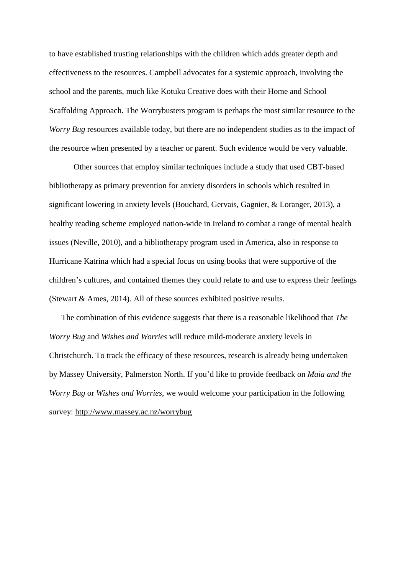to have established trusting relationships with the children which adds greater depth and effectiveness to the resources. Campbell advocates for a systemic approach, involving the school and the parents, much like Kotuku Creative does with their Home and School Scaffolding Approach. The Worrybusters program is perhaps the most similar resource to the *Worry Bug* resources available today, but there are no independent studies as to the impact of the resource when presented by a teacher or parent. Such evidence would be very valuable.

Other sources that employ similar techniques include a study that used CBT-based bibliotherapy as primary prevention for anxiety disorders in schools which resulted in significant lowering in anxiety levels (Bouchard, Gervais, Gagnier, & Loranger, 2013), a healthy reading scheme employed nation-wide in Ireland to combat a range of mental health issues (Neville, 2010), and a bibliotherapy program used in America, also in response to Hurricane Katrina which had a special focus on using books that were supportive of the children's cultures, and contained themes they could relate to and use to express their feelings (Stewart & Ames, 2014). All of these sources exhibited positive results.

The combination of this evidence suggests that there is a reasonable likelihood that *The Worry Bug* and *Wishes and Worries* will reduce mild-moderate anxiety levels in Christchurch. To track the efficacy of these resources, research is already being undertaken by Massey University, Palmerston North. If you'd like to provide feedback on *Maia and the Worry Bug* or *Wishes and Worries*, we would welcome your participation in the following survey: <http://www.massey.ac.nz/worrybug>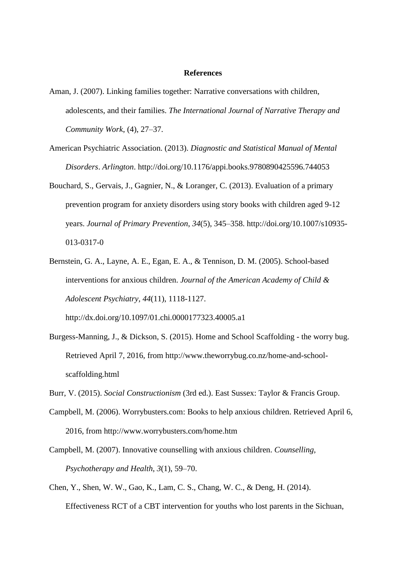## **References**

- Aman, J. (2007). Linking families together: Narrative conversations with children, adolescents, and their families. *The International Journal of Narrative Therapy and Community Work*, (4), 27–37.
- American Psychiatric Association. (2013). *Diagnostic and Statistical Manual of Mental Disorders*. *Arlington*. http://doi.org/10.1176/appi.books.9780890425596.744053
- Bouchard, S., Gervais, J., Gagnier, N., & Loranger, C. (2013). Evaluation of a primary prevention program for anxiety disorders using story books with children aged 9-12 years. *Journal of Primary Prevention*, *34*(5), 345–358. http://doi.org/10.1007/s10935- 013-0317-0
- Bernstein, G. A., Layne, A. E., Egan, E. A., & Tennison, D. M. (2005). School-based interventions for anxious children. *Journal of the American Academy of Child & Adolescent Psychiatry, 44*(11), 1118-1127. <http://dx.doi.org/10.1097/01.chi.0000177323.40005.a1>
- Burgess-Manning, J., & Dickson, S. (2015). Home and School Scaffolding the worry bug. Retrieved April 7, 2016, from http://www.theworrybug.co.nz/home-and-schoolscaffolding.html
- Burr, V. (2015). *Social Constructionism* (3rd ed.). East Sussex: Taylor & Francis Group.
- Campbell, M. (2006). Worrybusters.com: Books to help anxious children. Retrieved April 6, 2016, from http://www.worrybusters.com/home.htm
- Campbell, M. (2007). Innovative counselling with anxious children. *Counselling, Psychotherapy and Health*, *3*(1), 59–70.
- Chen, Y., Shen, W. W., Gao, K., Lam, C. S., Chang, W. C., & Deng, H. (2014). Effectiveness RCT of a CBT intervention for youths who lost parents in the Sichuan,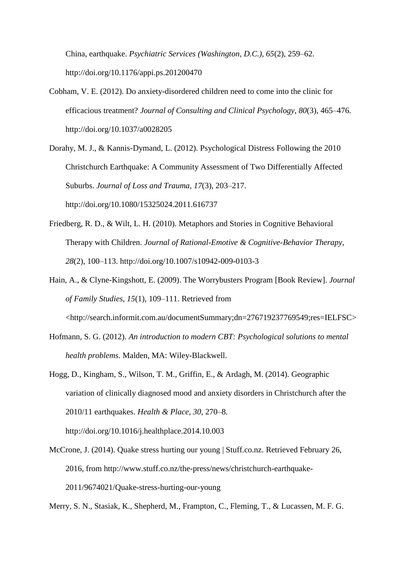China, earthquake. *Psychiatric Services (Washington, D.C.)*, *65*(2), 259–62. http://doi.org/10.1176/appi.ps.201200470

- Cobham, V. E. (2012). Do anxiety-disordered children need to come into the clinic for efficacious treatment? *Journal of Consulting and Clinical Psychology*, *80*(3), 465–476. http://doi.org/10.1037/a0028205
- Dorahy, M. J., & Kannis-Dymand, L. (2012). Psychological Distress Following the 2010 Christchurch Earthquake: A Community Assessment of Two Differentially Affected Suburbs. *Journal of Loss and Trauma*, *17*(3), 203–217. http://doi.org/10.1080/15325024.2011.616737
- Friedberg, R. D., & Wilt, L. H. (2010). Metaphors and Stories in Cognitive Behavioral Therapy with Children. *Journal of Rational-Emotive & Cognitive-Behavior Therapy*, *28*(2), 100–113. http://doi.org/10.1007/s10942-009-0103-3
- Hain, A., & Clyne-Kingshott, E. (2009). The Worrybusters Program [Book Review]. *Journal of Family Studies*, *15*(1), 109–111. Retrieved from <http://search.informit.com.au/documentSummary;dn=276719237769549;res=IELFSC>
- Hofmann, S. G. (2012). *An introduction to modern CBT: Psychological solutions to mental health problems*. Malden, MA: Wiley-Blackwell.
- Hogg, D., Kingham, S., Wilson, T. M., Griffin, E., & Ardagh, M. (2014). Geographic variation of clinically diagnosed mood and anxiety disorders in Christchurch after the 2010/11 earthquakes. *Health & Place*, *30*, 270–8. http://doi.org/10.1016/j.healthplace.2014.10.003
- McCrone, J. (2014). Quake stress hurting our young | Stuff.co.nz. Retrieved February 26, 2016, from http://www.stuff.co.nz/the-press/news/christchurch-earthquake-2011/9674021/Quake-stress-hurting-our-young

Merry, S. N., Stasiak, K., Shepherd, M., Frampton, C., Fleming, T., & Lucassen, M. F. G.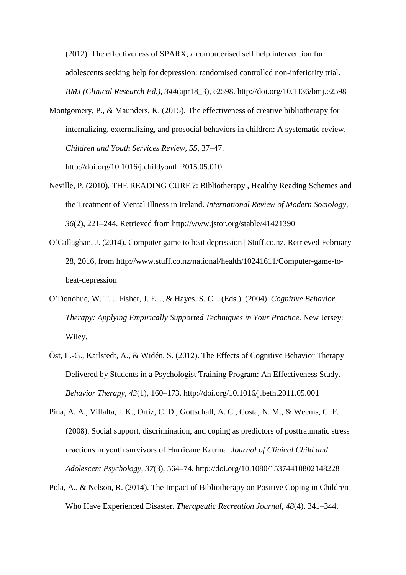(2012). The effectiveness of SPARX, a computerised self help intervention for adolescents seeking help for depression: randomised controlled non-inferiority trial. *BMJ (Clinical Research Ed.)*, *344*(apr18\_3), e2598. http://doi.org/10.1136/bmj.e2598

- Montgomery, P., & Maunders, K. (2015). The effectiveness of creative bibliotherapy for internalizing, externalizing, and prosocial behaviors in children: A systematic review. *Children and Youth Services Review*, *55*, 37–47. http://doi.org/10.1016/j.childyouth.2015.05.010
- Neville, P. (2010). THE READING CURE ?: Bibliotherapy , Healthy Reading Schemes and the Treatment of Mental Illness in Ireland. *International Review of Modern Sociology*, *36*(2), 221–244. Retrieved from http://www.jstor.org/stable/41421390
- O'Callaghan, J. (2014). Computer game to beat depression | Stuff.co.nz. Retrieved February 28, 2016, from http://www.stuff.co.nz/national/health/10241611/Computer-game-tobeat-depression
- O'Donohue, W. T. ., Fisher, J. E. ., & Hayes, S. C. . (Eds.). (2004). *Cognitive Behavior Therapy: Applying Empirically Supported Techniques in Your Practice*. New Jersey: Wiley.
- Öst, L.-G., Karlstedt, A., & Widén, S. (2012). The Effects of Cognitive Behavior Therapy Delivered by Students in a Psychologist Training Program: An Effectiveness Study. *Behavior Therapy*, *43*(1), 160–173. http://doi.org/10.1016/j.beth.2011.05.001
- Pina, A. A., Villalta, I. K., Ortiz, C. D., Gottschall, A. C., Costa, N. M., & Weems, C. F. (2008). Social support, discrimination, and coping as predictors of posttraumatic stress reactions in youth survivors of Hurricane Katrina. *Journal of Clinical Child and Adolescent Psychology*, *37*(3), 564–74. http://doi.org/10.1080/15374410802148228
- Pola, A., & Nelson, R. (2014). The Impact of Bibliotherapy on Positive Coping in Children Who Have Experienced Disaster. *Therapeutic Recreation Journal*, *48*(4), 341–344.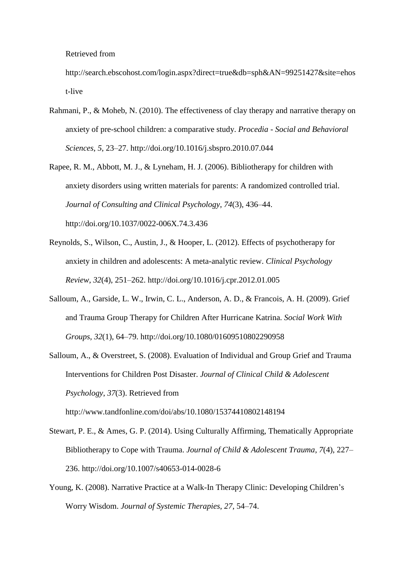Retrieved from

http://search.ebscohost.com/login.aspx?direct=true&db=sph&AN=99251427&site=ehos t-live

- Rahmani, P., & Moheb, N. (2010). The effectiveness of clay therapy and narrative therapy on anxiety of pre-school children: a comparative study. *Procedia - Social and Behavioral Sciences*, *5*, 23–27. http://doi.org/10.1016/j.sbspro.2010.07.044
- Rapee, R. M., Abbott, M. J., & Lyneham, H. J. (2006). Bibliotherapy for children with anxiety disorders using written materials for parents: A randomized controlled trial. *Journal of Consulting and Clinical Psychology*, *74*(3), 436–44. http://doi.org/10.1037/0022-006X.74.3.436
- Reynolds, S., Wilson, C., Austin, J., & Hooper, L. (2012). Effects of psychotherapy for anxiety in children and adolescents: A meta-analytic review. *Clinical Psychology Review*, *32*(4), 251–262. http://doi.org/10.1016/j.cpr.2012.01.005
- Salloum, A., Garside, L. W., Irwin, C. L., Anderson, A. D., & Francois, A. H. (2009). Grief and Trauma Group Therapy for Children After Hurricane Katrina. *Social Work With Groups*, *32*(1), 64–79. http://doi.org/10.1080/01609510802290958
- Salloum, A., & Overstreet, S. (2008). Evaluation of Individual and Group Grief and Trauma Interventions for Children Post Disaster. *Journal of Clinical Child & Adolescent Psychology*, *37*(3). Retrieved from http://www.tandfonline.com/doi/abs/10.1080/15374410802148194
- Stewart, P. E., & Ames, G. P. (2014). Using Culturally Affirming, Thematically Appropriate Bibliotherapy to Cope with Trauma. *Journal of Child & Adolescent Trauma*, *7*(4), 227– 236. http://doi.org/10.1007/s40653-014-0028-6
- Young, K. (2008). Narrative Practice at a Walk-In Therapy Clinic: Developing Children's Worry Wisdom. *Journal of Systemic Therapies*, *27*, 54–74.